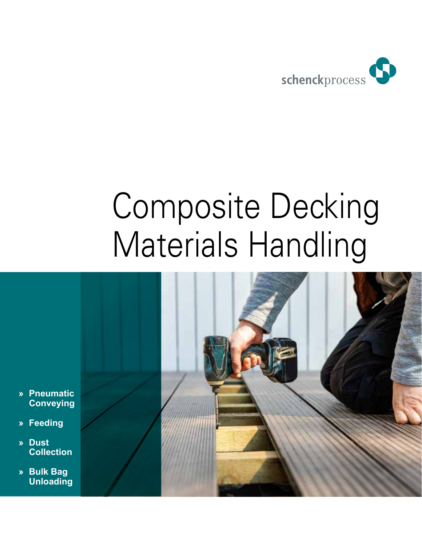

# Composite Decking Materials Handling



- **» Pneumatic Conveying**
- **» Feeding**
- **» Dust Collection**
- **» Bulk Bag Unloading**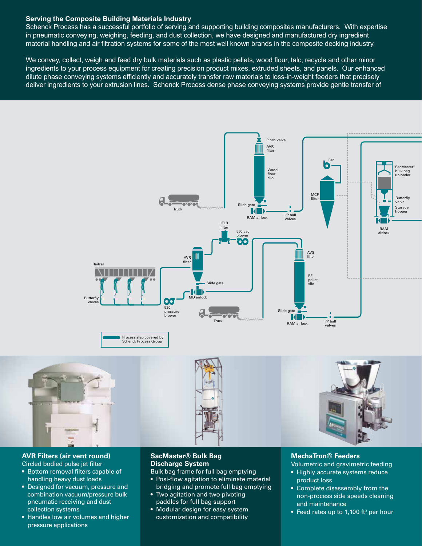#### **Serving the Composite Building Materials Industry**

Schenck Process has a successful portfolio of serving and supporting building composites manufacturers. With expertise in pneumatic conveying, weighing, feeding, and dust collection, we have designed and manufactured dry ingredient material handling and air filtration systems for some of the most well known brands in the composite decking industry.

We convey, collect, weigh and feed dry bulk materials such as plastic pellets, wood flour, talc, recycle and other minor ingredients to your process equipment for creating precision product mixes, extruded sheets, and panels. Our enhanced dilute phase conveying systems efficiently and accurately transfer raw materials to loss-in-weight feeders that precisely deliver ingredients to your extrusion lines. Schenck Process dense phase conveying systems provide gentle transfer of



### **AVR Filters (air vent round)**

- Circled bodied pulse jet filter
- Bottom removal filters capable of handling heavy dust loads
- Designed for vacuum, pressure and combination vacuum/pressure bulk pneumatic receiving and dust collection systems
- Handles low air volumes and higher pressure applications

#### **SacMaster® Bulk Bag Discharge System**

Bulk bag frame for full bag emptying

- Posi-flow agitation to eliminate material bridging and promote full bag emptying
- Two agitation and two pivoting paddles for full bag support
- Modular design for easy system customization and compatibility

#### **MechaTron® Feeders**

Volumetric and gravimetric feeding

- Highly accurate systems reduce product loss
- Complete disassembly from the non-process side speeds cleaning and maintenance
- Feed rates up to 1,100 ft<sup>3</sup> per hour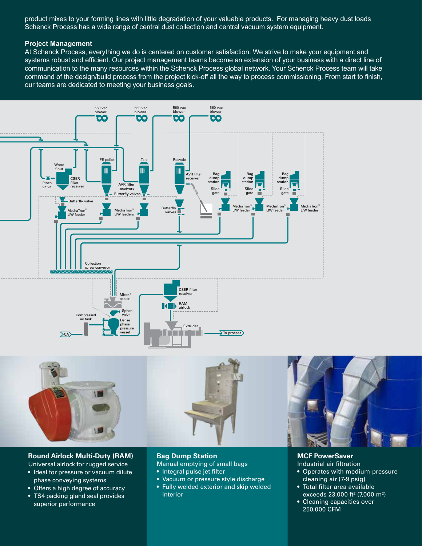product mixes to your forming lines with little degradation of your valuable products. For managing heavy dust loads Schenck Process has a wide range of central dust collection and central vacuum system equipment.

#### **Project Management**

At Schenck Process, everything we do is centered on customer satisfaction. We strive to make your equipment and systems robust and efficient. Our project management teams become an extension of your business with a direct line of communication to the many resources within the Schenck Process global network. Your Schenck Process team will take command of the design/build process from the project kick-off all the way to process commissioning. From start to finish, our teams are dedicated to meeting your business goals.





#### **Round Airlock Multi-Duty (RAM)**

- Universal airlock for rugged service
- Ideal for pressure or vacuum dilute phase conveying systems
- Offers a high degree of accuracy
- TS4 packing gland seal provides superior performance

#### **Bag Dump Station**

Manual emptying of small bags

- Integral pulse jet filter
- Vacuum or pressure style discharge
- Fully welded exterior and skip welded interior

#### **MCF PowerSaver**

- Industrial air filtration • Operates with medium-pressure cleaning air (7-9 psig)
- Total filter area available exceeds 23,000 ft² (7,000 m²)
- Cleaning capacities over 250,000 CFM